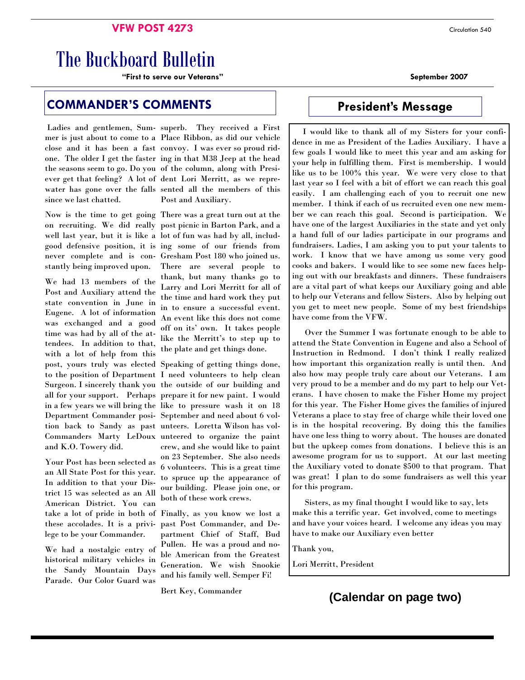#### **VFW POST 4273** Circulation 540

# The Buckboard Bulletin

**"First to serve our Veterans" September 2007** 

# **COMMANDER'S COMMENTS Fig. 5 President's Message**

since we last chatted.

stantly being improved upon.

We had 13 members of the Post and Auxiliary attend the state convention in June in Eugene. A lot of information was exchanged and a good time was had by all of the attendees. In addition to that, with a lot of help from this post, yours truly was elected Surgeon. I sincerely thank you all for your support. Perhaps Department Commander posiand K.O. Towery did.

take a lot of pride in both of Finally, as you know we lost a Your Post has been selected as an All State Post for this year. In addition to that your District 15 was selected as an All American District. You can these accolades. It is a privilege to be your Commander.

We had a nostalgic entry of historical military vehicles in the Sandy Mountain Days Parade. Our Color Guard was

Ladies and gentlemen, Sum- superb. They received a First mer is just about to come to a Place Ribbon, as did our vehicle close and it has been a fast convoy. I was ever so proud ridone. The older I get the faster ing in that M38 Jeep at the head the seasons seem to go. Do you of the column, along with Presiever get that feeling? A lot of dent Lori Merritt, as we reprewater has gone over the falls sented all the members of this Post and Auxiliary.

Now is the time to get going There was a great turn out at the on recruiting. We did really post picnic in Barton Park, and a well last year, but it is like a lot of fun was had by all, includgood defensive position, it is ing some of our friends from never complete and is con- Gresham Post 180 who joined us. There are several people to thank, but many thanks go to Larry and Lori Merritt for all of the time and hard work they put in to ensure a successful event. An event like this does not come off on its' own. It takes people like the Merritt's to step up to the plate and get things done.

Speaking of getting things done, to the position of Department I need volunteers to help clean the outside of our building and prepare it for new paint. I would in a few years we will bring the like to pressure wash it on 18 September and need about 6 voltion back to Sandy as past unteers. Loretta Wilson has vol-Commanders Marty LeDoux unteered to organize the paint crew, and she would like to paint on 23 September. She also needs 6 volunteers. This is a great time to spruce up the appearance of our building. Please join one, or both of these work crews.

> past Post Commander, and Department Chief of Staff, Bud Pullen. He was a proud and noble American from the Greatest Generation. We wish Snookie and his family well. Semper Fi!

Bert Key, Commander

 I would like to thank all of my Sisters for your confidence in me as President of the Ladies Auxiliary. I have a few goals I would like to meet this year and am asking for your help in fulfilling them. First is membership. I would like us to be 100% this year. We were very close to that last year so I feel with a bit of effort we can reach this goal easily. I am challenging each of you to recruit one new member. I think if each of us recruited even one new member we can reach this goal. Second is participation. We have one of the largest Auxiliaries in the state and yet only a hand full of our ladies participate in our programs and fundraisers. Ladies, I am asking you to put your talents to work. I know that we have among us some very good cooks and bakers. I would like to see some new faces helping out with our breakfasts and dinners. These fundraisers are a vital part of what keeps our Auxiliary going and able to help our Veterans and fellow Sisters. Also by helping out you get to meet new people. Some of my best friendships have come from the VFW.

 Over the Summer I was fortunate enough to be able to attend the State Convention in Eugene and also a School of Instruction in Redmond. I don't think I really realized how important this organization really is until then. And also how may people truly care about our Veterans. I am very proud to be a member and do my part to help our Veterans. I have chosen to make the Fisher Home my project for this year. The Fisher Home gives the families of injured Veterans a place to stay free of charge while their loved one is in the hospital recovering. By doing this the families have one less thing to worry about. The houses are donated but the upkeep comes from donations. I believe this is an awesome program for us to support. At our last meeting the Auxiliary voted to donate \$500 to that program. That was great! I plan to do some fundraisers as well this year for this program.

 Sisters, as my final thought I would like to say, lets make this a terrific year. Get involved, come to meetings and have your voices heard. I welcome any ideas you may have to make our Auxiliary even better

Thank you,

Lori Merritt, President

# **(Calendar on page two)**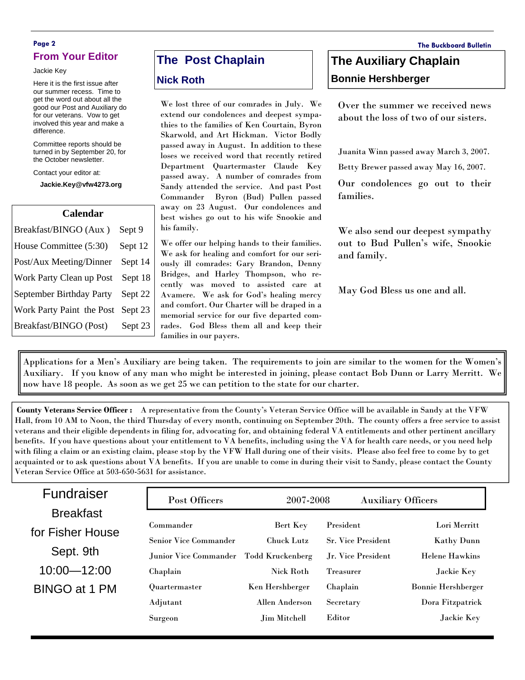#### **Page 2 The Buckboard Bulletin From Your Editor**

Jackie Key

Here it is the first issue after our summer recess. Time to get the word out about all the good our Post and Auxiliary do for our veterans. Vow to get involved this year and make a difference.

Committee reports should be turned in by September 20, for the October newsletter.

Contact your editor at:

**Jackie.Key@vfw4273.org** 

| <b>Calendar</b>           |         |  |  |
|---------------------------|---------|--|--|
| Breakfast/BINGO (Aux)     | Sept 9  |  |  |
| House Committee (5:30)    | Sept 12 |  |  |
| Post/Aux Meeting/Dinner   | Sept 14 |  |  |
| Work Party Clean up Post  | Sept 18 |  |  |
| September Birthday Party  | Sept 22 |  |  |
| Work Party Paint the Post | Sept 23 |  |  |
| Breakfast/BINGO (Post)    | Sept 23 |  |  |

# **The Post Chaplain**

#### **Nick Roth**

We lost three of our comrades in July. We extend our condolences and deepest sympathies to the families of Ken Courtain, Byron Skarwold, and Art Hickman. Victor Bodly passed away in August. In addition to these loses we received word that recently retired Department Quartermaster Claude Key passed away. A number of comrades from Sandy attended the service. And past Post Commander Byron (Bud) Pullen passed away on 23 August. Our condolences and best wishes go out to his wife Snookie and his family.

We offer our helping hands to their families. We ask for healing and comfort for our seriously ill comrades: Gary Brandon, Denny Bridges, and Harley Thompson, who recently was moved to assisted care at Avamere. We ask for God's healing mercy and comfort. Our Charter will be draped in a memorial service for our five departed comrades. God Bless them all and keep their families in our payers.

# **The Auxiliary Chaplain Bonnie Hershberger**

Over the summer we received news about the loss of two of our sisters.

Juanita Winn passed away March 3, 2007.

Betty Brewer passed away May 16, 2007.

Our condolences go out to their families.

We also send our deepest sympathy out to Bud Pullen's wife, Snookie and family.

May God Bless us one and all.

Applications for a Men's Auxiliary are being taken. The requirements to join are similar to the women for the Women's Auxiliary. If you know of any man who might be interested in joining, please contact Bob Dunn or Larry Merritt. We now have 18 people. As soon as we get 25 we can petition to the state for our charter.

**County Veterans Service Officer :** A representative from the County's Veteran Service Office will be available in Sandy at the VFW Hall, from 10 AM to Noon, the third Thursday of every month, continuing on September 20th. The county offers a free service to assist veterans and their eligible dependents in filing for, advocating for, and obtaining federal VA entitlements and other pertinent ancillary benefits. If you have questions about your entitlement to VA benefits, including using the VA for health care needs, or you need help with filing a claim or an existing claim, please stop by the VFW Hall during one of their visits. Please also feel free to come by to get acquainted or to ask questions about VA benefits. If you are unable to come in during their visit to Sandy, please contact the County Veteran Service Office at 503-650-5631 for assistance.

| Fundraiser       | Post Officers                | 2007-2008         | <b>Auxiliary Officers</b> |                           |
|------------------|------------------------------|-------------------|---------------------------|---------------------------|
| <b>Breakfast</b> |                              |                   |                           |                           |
| for Fisher House | Commander                    | Bert Key          | President                 | Lori Merritt              |
|                  | <b>Senior Vice Commander</b> | <b>Chuck Lutz</b> | <b>Sr. Vice President</b> | <b>Kathy Dunn</b>         |
| Sept. 9th        | Junior Vice Commander        | Todd Kruckenberg  | Jr. Vice President        | <b>Helene Hawkins</b>     |
| $10:00 - 12:00$  | Chaplain                     | Nick Roth         | <b>Treasurer</b>          | Jackie Key                |
| BINGO at 1 PM    | Quartermaster                | Ken Hershberger   | Chaplain                  | <b>Bonnie Hershberger</b> |
|                  | Adjutant                     | Allen Anderson    | Secretary                 | Dora Fitzpatrick          |
|                  | Surgeon                      | Jim Mitchell      | Editor                    | Jackie Key                |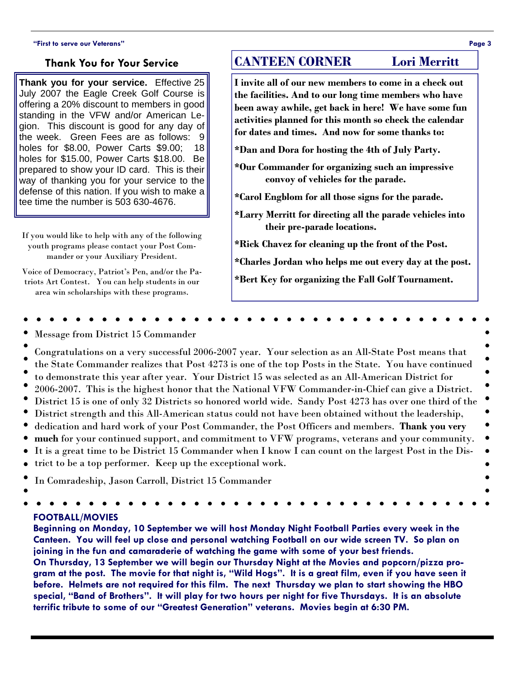#### **"First to serve our Veterans" Page 3**

### **Thank You for Your Service**

**Thank you for your service.** Effective 25 July 2007 the Eagle Creek Golf Course is offering a 20% discount to members in good standing in the VFW and/or American Legion. This discount is good for any day of the week. Green Fees are as follows: 9 holes for \$8.00, Power Carts \$9.00; 18 holes for \$15.00, Power Carts \$18.00. Be prepared to show your ID card. This is their way of thanking you for your service to the defense of this nation. If you wish to make a tee time the number is 503 630-4676.

If you would like to help with any of the following youth programs please contact your Post Commander or your Auxiliary President.

Voice of Democracy, Patriot's Pen, and/or the Patriots Art Contest. You can help students in our area win scholarships with these programs.

# **CANTEEN CORNER Lori Merritt**

**I invite all of our new members to come in a check out the facilities. And to our long time members who have been away awhile, get back in here! We have some fun activities planned for this month so check the calendar for dates and times. And now for some thanks to:** 

**\*Dan and Dora for hosting the 4th of July Party.** 

**\*Our Commander for organizing such an impressive convoy of vehicles for the parade.** 

**\*Carol Engblom for all those signs for the parade.** 

**\*Larry Merritt for directing all the parade vehicles into their pre-parade locations.** 

**\*Rick Chavez for cleaning up the front of the Post.** 

**\*Charles Jordan who helps me out every day at the post.** 

**\*Bert Key for organizing the Fall Golf Tournament.** 

Message from District 15 Commander

Congratulations on a very successful 2006-2007 year. Your selection as an All-State Post means that the State Commander realizes that Post 4273 is one of the top Posts in the State. You have continued to demonstrate this year after year. Your District 15 was selected as an All-American District for 2006-2007. This is the highest honor that the National VFW Commander-in-Chief can give a District. District 15 is one of only 32 Districts so honored world wide. Sandy Post 4273 has over one third of the District strength and this All-American status could not have been obtained without the leadership,

- $\bullet$ dedication and hard work of your Post Commander, the Post Officers and members. **Thank you very**
- $\bullet$ **much** for your continued support, and commitment to VFW programs, veterans and your community.
- It is a great time to be District 15 Commander when I know I can count on the largest Post in the Dis- $\bullet$
- trict to be a top performer. Keep up the exceptional work.  $\bullet$
- In Comradeship, Jason Carroll, District 15 Commander
- 

#### **FOOTBALL/MOVIES**

**Beginning on Monday, 10 September we will host Monday Night Football Parties every week in the Canteen. You will feel up close and personal watching Football on our wide screen TV. So plan on joining in the fun and camaraderie of watching the game with some of your best friends.** 

**On Thursday, 13 September we will begin our Thursday Night at the Movies and popcorn/pizza program at the post. The movie for that night is, "Wild Hogs". It is a great film, even if you have seen it before. Helmets are not required for this film. The next Thursday we plan to start showing the HBO special, "Band of Brothers". It will play for two hours per night for five Thursdays. It is an absolute terrific tribute to some of our "Greatest Generation" veterans. Movies begin at 6:30 PM.** 

 $\bullet$ 

 $\bullet$ 

 $\bullet$ 

 $\bullet$ 

é ٠